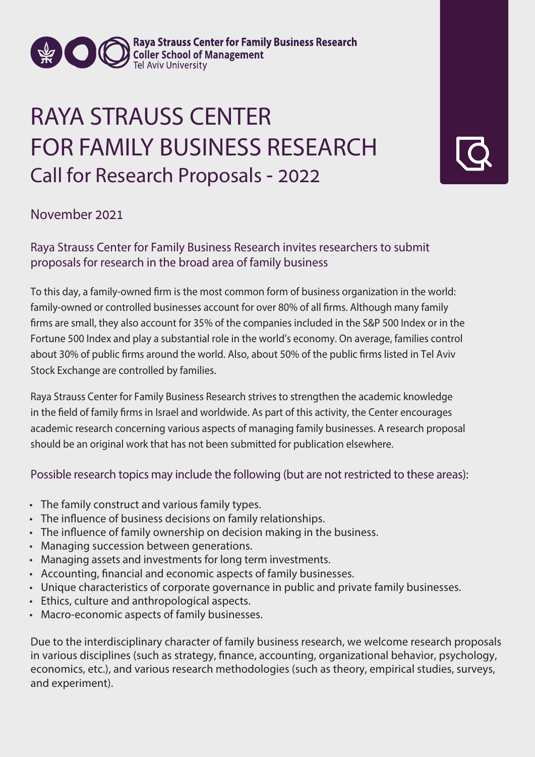

**Expanding College School of Management Tel Aviv University** 

## RAYA STRAUSS CENTER FOR FAMILY BUSINESS RESEARCH Call for Research Proposals - 2022

**November 2021**

Raya Strauss Center for Family Business Research invites researchers to submit proposals for research in the broad area of family business

To this day, a family-owned firm is the most common form of business organization in the world: family-owned or controlled businesses account for over 80% of all firms. Although many family firms are small, they also account for 35% of the companies included in the S&P 500 Index or in the Fortune 500 Index and play a substantial role in the world's economy. On average, families control about 30% of public firms around the world. Also, about 50% of the public firms listed in Tel Aviv Stock Exchange are controlled by families.

Raya Strauss Center for Family Business Research strives to strengthen the academic knowledge in the field of family firms in Israel and worldwide. As part of this activity, the Center encourages academic research concerning various aspects of managing family businesses. A research proposal should be an original work that has not been submitted for publication elsewhere.

## Possible research topics may include the following (but are not restricted to these areas):

- The family construct and various family types.
- The influence of business decisions on family relationships.
- The influence of family ownership on decision making in the business.
- Managing succession between generations.
- Managing assets and investments for long term investments.
- Accounting, financial and economic aspects of family businesses.
- Unique characteristics of corporate governance in public and private family businesses.
- Ethics, culture and anthropological aspects.
- Macro-economic aspects of family businesses.

Due to the interdisciplinary character of family business research, we welcome research proposals in various disciplines (such as strategy, finance, accounting, organizational behavior, psychology, economics, etc.), and various research methodologies (such as theory, empirical studies, surveys, and experiment).